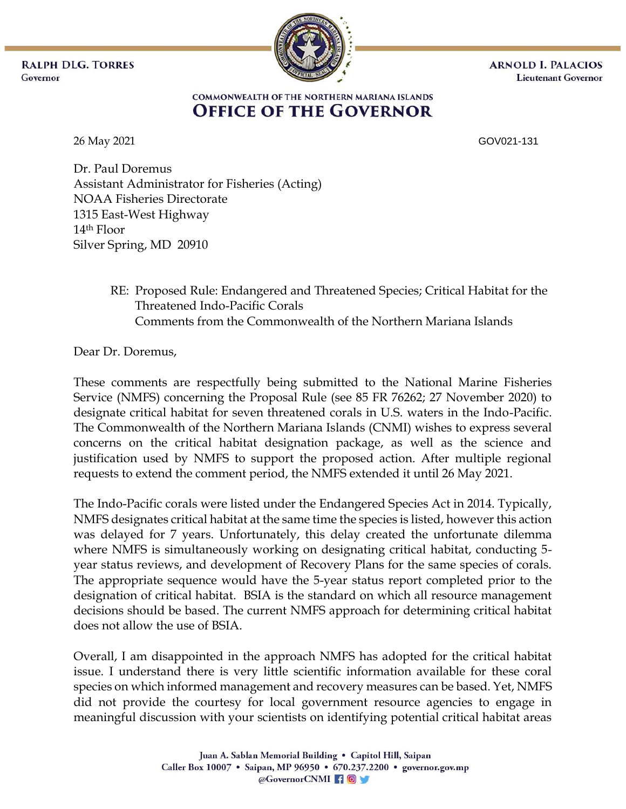**RALPH DLG. TORRES** Governor



**ARNOLD I. PALACIOS Lieutenant Governor** 

## COMMONWEALTH OF THE NORTHERN MARIANA ISLANDS **OFFICE OF THE GOVERNOR**

26 May 2021 GOV021-131

Dr. Paul Doremus Assistant Administrator for Fisheries (Acting) NOAA Fisheries Directorate 1315 East-West Highway 14th Floor Silver Spring, MD 20910

> RE: Proposed Rule: Endangered and Threatened Species; Critical Habitat for the Threatened Indo-Pacific Corals Comments from the Commonwealth of the Northern Mariana Islands

Dear Dr. Doremus,

These comments are respectfully being submitted to the National Marine Fisheries Service (NMFS) concerning the Proposal Rule (see 85 FR 76262; 27 November 2020) to designate critical habitat for seven threatened corals in U.S. waters in the Indo-Pacific. The Commonwealth of the Northern Mariana Islands (CNMI) wishes to express several concerns on the critical habitat designation package, as well as the science and justification used by NMFS to support the proposed action. After multiple regional requests to extend the comment period, the NMFS extended it until 26 May 2021.

The Indo-Pacific corals were listed under the Endangered Species Act in 2014. Typically, NMFS designates critical habitat at the same time the species is listed, however this action was delayed for 7 years. Unfortunately, this delay created the unfortunate dilemma where NMFS is simultaneously working on designating critical habitat, conducting 5 year status reviews, and development of Recovery Plans for the same species of corals. The appropriate sequence would have the 5-year status report completed prior to the designation of critical habitat. BSIA is the standard on which all resource management decisions should be based. The current NMFS approach for determining critical habitat does not allow the use of BSIA.

Overall, I am disappointed in the approach NMFS has adopted for the critical habitat issue. I understand there is very little scientific information available for these coral species on which informed management and recovery measures can be based. Yet, NMFS did not provide the courtesy for local government resource agencies to engage in meaningful discussion with your scientists on identifying potential critical habitat areas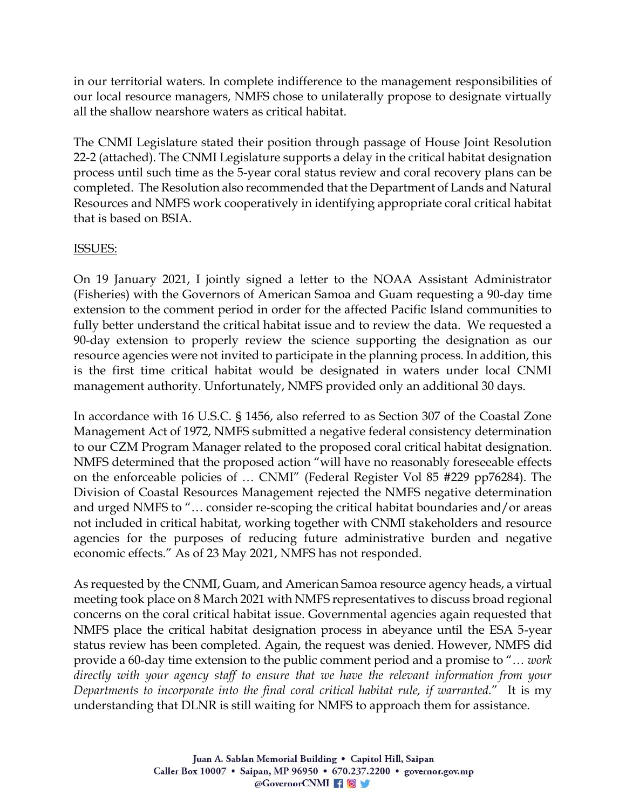in our territorial waters. In complete indifference to the management responsibilities of our local resource managers, NMFS chose to unilaterally propose to designate virtually all the shallow nearshore waters as critical habitat.

The CNMI Legislature stated their position through passage of House Joint Resolution 22-2 (attached). The CNMI Legislature supports a delay in the critical habitat designation process until such time as the 5-year coral status review and coral recovery plans can be completed. The Resolution also recommended that the Department of Lands and Natural Resources and NMFS work cooperatively in identifying appropriate coral critical habitat that is based on BSIA.

## ISSUES:

On 19 January 2021, I jointly signed a letter to the NOAA Assistant Administrator (Fisheries) with the Governors of American Samoa and Guam requesting a 90-day time extension to the comment period in order for the affected Pacific Island communities to fully better understand the critical habitat issue and to review the data. We requested a 90-day extension to properly review the science supporting the designation as our resource agencies were not invited to participate in the planning process. In addition, this is the first time critical habitat would be designated in waters under local CNMI management authority. Unfortunately, NMFS provided only an additional 30 days.

In accordance with 16 U.S.C. § 1456, also referred to as Section 307 of the Coastal Zone Management Act of 1972, NMFS submitted a negative federal consistency determination to our CZM Program Manager related to the proposed coral critical habitat designation. NMFS determined that the proposed action "will have no reasonably foreseeable effects on the enforceable policies of … CNMI" (Federal Register Vol 85 #229 pp76284). The Division of Coastal Resources Management rejected the NMFS negative determination and urged NMFS to "… consider re-scoping the critical habitat boundaries and/or areas not included in critical habitat, working together with CNMI stakeholders and resource agencies for the purposes of reducing future administrative burden and negative economic effects." As of 23 May 2021, NMFS has not responded.

As requested by the CNMI, Guam, and American Samoa resource agency heads, a virtual meeting took place on 8 March 2021 with NMFS representatives to discuss broad regional concerns on the coral critical habitat issue. Governmental agencies again requested that NMFS place the critical habitat designation process in abeyance until the ESA 5-year status review has been completed. Again, the request was denied. However, NMFS did provide a 60-day time extension to the public comment period and a promise to "… *work directly with your agency staff to ensure that we have the relevant information from your Departments to incorporate into the final coral critical habitat rule, if warranted.*" It is my understanding that DLNR is still waiting for NMFS to approach them for assistance.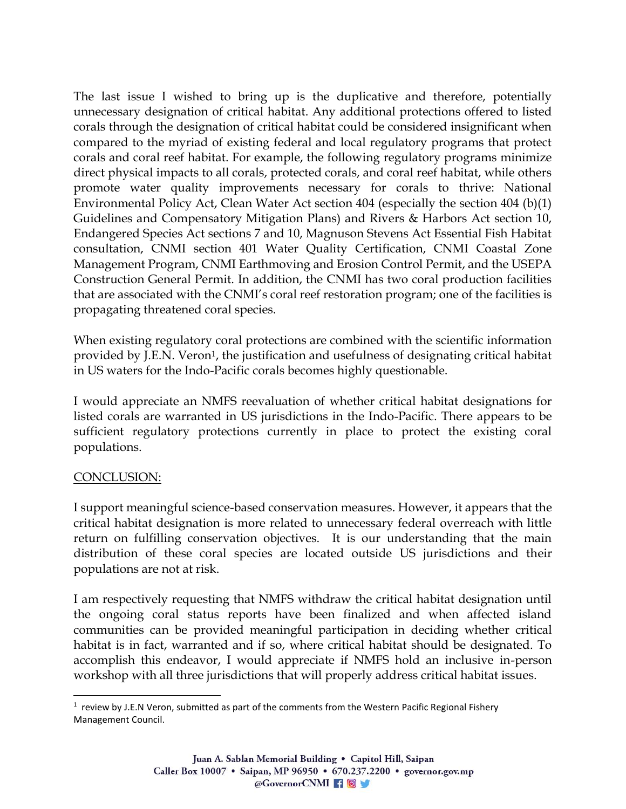The last issue I wished to bring up is the duplicative and therefore, potentially unnecessary designation of critical habitat. Any additional protections offered to listed corals through the designation of critical habitat could be considered insignificant when compared to the myriad of existing federal and local regulatory programs that protect corals and coral reef habitat. For example, the following regulatory programs minimize direct physical impacts to all corals, protected corals, and coral reef habitat, while others promote water quality improvements necessary for corals to thrive: National Environmental Policy Act, Clean Water Act section 404 (especially the section 404 (b)(1) Guidelines and Compensatory Mitigation Plans) and Rivers & Harbors Act section 10, Endangered Species Act sections 7 and 10, Magnuson Stevens Act Essential Fish Habitat consultation, CNMI section 401 Water Quality Certification, CNMI Coastal Zone Management Program, CNMI Earthmoving and Erosion Control Permit, and the USEPA Construction General Permit. In addition, the CNMI has two coral production facilities that are associated with the CNMI's coral reef restoration program; one of the facilities is propagating threatened coral species.

When existing regulatory coral protections are combined with the scientific information provided by J.E.N. Veron<sup>1</sup>, the justification and usefulness of designating critical habitat in US waters for the Indo-Pacific corals becomes highly questionable.

I would appreciate an NMFS reevaluation of whether critical habitat designations for listed corals are warranted in US jurisdictions in the Indo-Pacific. There appears to be sufficient regulatory protections currently in place to protect the existing coral populations.

## CONCLUSION:

I support meaningful science-based conservation measures. However, it appears that the critical habitat designation is more related to unnecessary federal overreach with little return on fulfilling conservation objectives. It is our understanding that the main distribution of these coral species are located outside US jurisdictions and their populations are not at risk.

I am respectively requesting that NMFS withdraw the critical habitat designation until the ongoing coral status reports have been finalized and when affected island communities can be provided meaningful participation in deciding whether critical habitat is in fact, warranted and if so, where critical habitat should be designated. To accomplish this endeavor, I would appreciate if NMFS hold an inclusive in-person workshop with all three jurisdictions that will properly address critical habitat issues.

 $<sup>1</sup>$  review by J.E.N Veron, submitted as part of the comments from the Western Pacific Regional Fishery</sup> Management Council.